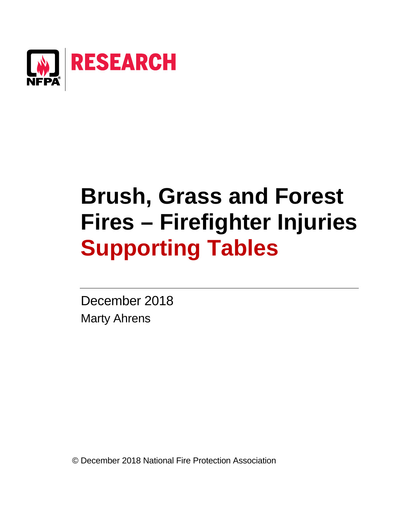

# **Brush, Grass and Forest Fires – Firefighter Injuries Supporting Tables**

December 2018 Marty Ahrens

© December 2018 National Fire Protection Association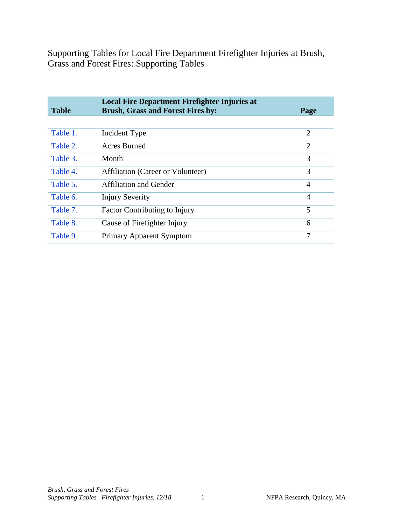Supporting Tables for Local Fire Department Firefighter Injuries at Brush, Grass and Forest Fires: Supporting Tables

| <b>Table</b> | <b>Local Fire Department Firefighter Injuries at</b><br><b>Brush, Grass and Forest Fires by:</b> | Page           |
|--------------|--------------------------------------------------------------------------------------------------|----------------|
|              |                                                                                                  |                |
| Table 1.     | Incident Type                                                                                    | $\overline{2}$ |
| Table 2.     | Acres Burned                                                                                     | $\overline{2}$ |
| Table 3.     | Month                                                                                            | 3              |
| Table 4.     | Affiliation (Career or Volunteer)                                                                | 3              |
| Table 5.     | Affiliation and Gender                                                                           | $\overline{4}$ |
| Table 6.     | <b>Injury Severity</b>                                                                           | $\overline{4}$ |
| Table 7.     | <b>Factor Contributing to Injury</b>                                                             | 5              |
| Table 8.     | Cause of Firefighter Injury                                                                      | 6              |
| Table 9.     | Primary Apparent Symptom                                                                         | 7              |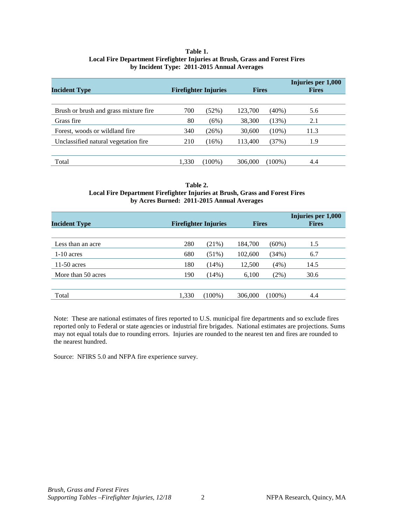## **Table 1. Local Fire Department Firefighter Injuries at Brush, Grass and Forest Fires by Incident Type: 2011-2015 Annual Averages**

<span id="page-2-0"></span>

| <b>Incident Type</b>                  |       | <b>Firefighter Injuries</b> | <b>Fires</b> |           | <b>Fires</b> |  | Injuries per 1,000 |
|---------------------------------------|-------|-----------------------------|--------------|-----------|--------------|--|--------------------|
|                                       |       |                             |              |           |              |  |                    |
| Brush or brush and grass mixture fire | 700   | $(52\%)$                    | 123,700      | $(40\%)$  | 5.6          |  |                    |
| Grass fire                            | 80    | (6%)                        | 38,300       | (13%)     | 2.1          |  |                    |
| Forest, woods or wildland fire.       | 340   | (26%)                       | 30,600       | $(10\%)$  | 11.3         |  |                    |
| Unclassified natural vegetation fire. | 210   | (16%)                       | 113,400      | (37%)     | 1.9          |  |                    |
|                                       |       |                             |              |           |              |  |                    |
| Total                                 | 1.330 | $(100\%)$                   | 306,000      | $(100\%)$ | 4.4          |  |                    |

#### **Table 2. Local Fire Department Firefighter Injuries at Brush, Grass and Forest Fires by Acres Burned: 2011-2015 Annual Averages**

| <b>Incident Type</b> | <b>Fires</b><br><b>Firefighter Injuries</b> |           | Injuries per 1,000<br><b>Fires</b> |           |      |
|----------------------|---------------------------------------------|-----------|------------------------------------|-----------|------|
|                      |                                             |           |                                    |           |      |
| Less than an acre    | 280                                         | (21%)     | 184,700                            | $(60\%)$  | 1.5  |
| $1-10$ acres         | 680                                         | $(51\%)$  | 102,600                            | (34%)     | 6.7  |
| $11-50$ acres        | 180                                         | (14%)     | 12,500                             | (4%)      | 14.5 |
| More than 50 acres   | 190                                         | (14%)     | 6,100                              | $(2\%)$   | 30.6 |
|                      |                                             |           |                                    |           |      |
| Total                | 1,330                                       | $(100\%)$ | 306,000                            | $(100\%)$ | 4.4  |

Note: These are national estimates of fires reported to U.S. municipal fire departments and so exclude fires reported only to Federal or state agencies or industrial fire brigades. National estimates are projections. Sums may not equal totals due to rounding errors. Injuries are rounded to the nearest ten and fires are rounded to the nearest hundred.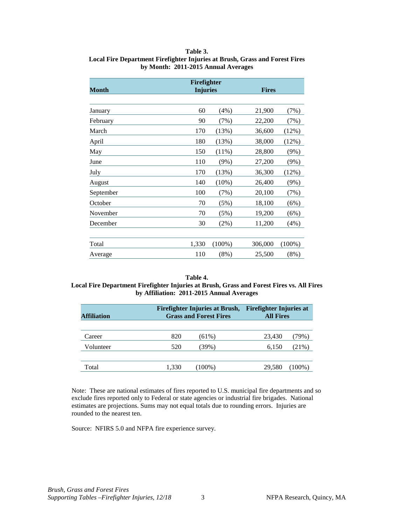## **Table 3.**

# <span id="page-3-0"></span>**Local Fire Department Firefighter Injuries at Brush, Grass and Forest Fires by Month: 2011-2015 Annual Averages**

| Month     | Firefighter<br><b>Injuries</b><br><b>Fires</b> |           |         |           |  |
|-----------|------------------------------------------------|-----------|---------|-----------|--|
|           |                                                |           |         |           |  |
| January   | 60                                             | (4%)      | 21,900  | (7%)      |  |
| February  | 90                                             | (7%)      | 22,200  | (7%)      |  |
| March     | 170                                            | (13%)     | 36,600  | (12%)     |  |
| April     | 180                                            | (13%)     | 38,000  | (12%)     |  |
| May       | 150                                            | $(11\%)$  | 28,800  | (9%)      |  |
| June      | 110                                            | $(9\%)$   | 27,200  | $(9\%)$   |  |
| July      | 170                                            | (13%)     | 36,300  | (12%)     |  |
| August    | 140                                            | $(10\%)$  | 26,400  | $(9\%)$   |  |
| September | 100                                            | (7%)      | 20,100  | (7%)      |  |
| October   | 70                                             | (5%)      | 18,100  | (6%)      |  |
| November  | 70                                             | (5%)      | 19,200  | (6%)      |  |
| December  | 30                                             | (2%)      | 11,200  | (4%)      |  |
|           |                                                |           |         |           |  |
| Total     | 1,330                                          | $(100\%)$ | 306,000 | $(100\%)$ |  |
| Average   | 110                                            | $(8\%)$   | 25,500  | $(8\%)$   |  |

#### **Table 4.**

### **Local Fire Department Firefighter Injuries at Brush, Grass and Forest Fires vs. All Fires by Affiliation: 2011-2015 Annual Averages**

| <b>Affiliation</b> | Firefighter Injuries at Brush,<br><b>Firefighter Injuries at</b><br><b>Grass and Forest Fires</b><br><b>All Fires</b> |          |        |       |
|--------------------|-----------------------------------------------------------------------------------------------------------------------|----------|--------|-------|
| Career             | 820                                                                                                                   | $(61\%)$ | 23,430 | 79%)  |
| Volunteer          | 520                                                                                                                   | 39%)     | 6,150  | (21%) |
| Total              | 1,330                                                                                                                 | (100%)   | 29.580 | 100%` |

Note: These are national estimates of fires reported to U.S. municipal fire departments and so exclude fires reported only to Federal or state agencies or industrial fire brigades. National estimates are projections. Sums may not equal totals due to rounding errors. Injuries are rounded to the nearest ten.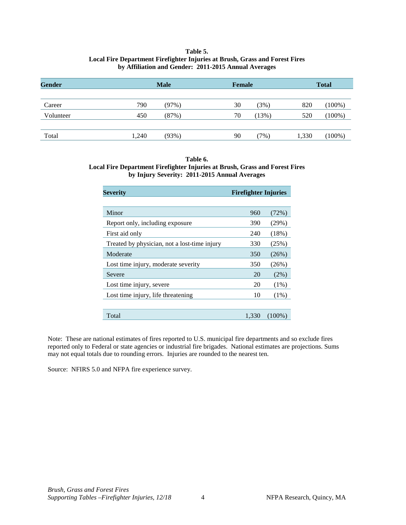### **Table 5. Local Fire Department Firefighter Injuries at Brush, Grass and Forest Fires by Affiliation and Gender: 2011-2015 Annual Averages**

<span id="page-4-0"></span>

| Gender    |       | <b>Male</b> | <b>Female</b> |       |       | <b>Total</b> |
|-----------|-------|-------------|---------------|-------|-------|--------------|
|           |       |             |               |       |       |              |
| Career    | 790   | (97%)       | 30            | (3%)  | 820   | $(100\%)$    |
| Volunteer | 450   | (87%)       | 70            | (13%) | 520   | $(100\%)$    |
|           |       |             |               |       |       |              |
| Total     | 1,240 | (93%)       | 90            | (7%)  | 1,330 | $(100\%)$    |

#### **Table 6. Local Fire Department Firefighter Injuries at Brush, Grass and Forest Fires by Injury Severity: 2011-2015 Annual Averages**

| Severity                                     | <b>Firefighter Injuries</b> |           |
|----------------------------------------------|-----------------------------|-----------|
|                                              |                             |           |
| Minor                                        | 960                         | (72%)     |
| Report only, including exposure              | 390                         | (29%)     |
| First aid only                               | 240                         | $(18\%)$  |
| Treated by physician, not a lost-time injury | 330                         | (25%)     |
| Moderate                                     | 350                         | (26%)     |
| Lost time injury, moderate severity          | 350                         | (26%)     |
| Severe                                       | 20                          | $(2\%)$   |
| Lost time injury, severe                     | 20                          | $(1\%)$   |
| Lost time injury, life threatening           | 10                          | $(1\%)$   |
|                                              |                             |           |
| Total                                        | 1,330                       | $(100\%)$ |

Note: These are national estimates of fires reported to U.S. municipal fire departments and so exclude fires reported only to Federal or state agencies or industrial fire brigades. National estimates are projections. Sums may not equal totals due to rounding errors. Injuries are rounded to the nearest ten.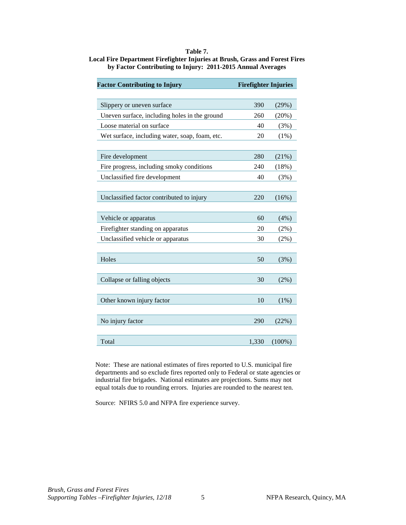# **Table 7.**

<span id="page-5-0"></span>**Local Fire Department Firefighter Injuries at Brush, Grass and Forest Fires by Factor Contributing to Injury: 2011-2015 Annual Averages**

| <b>Factor Contributing to Injury</b>           | <b>Firefighter Injuries</b> |           |
|------------------------------------------------|-----------------------------|-----------|
| Slippery or uneven surface                     | 390                         | (29%)     |
| Uneven surface, including holes in the ground  | 260                         | (20%)     |
| Loose material on surface                      | 40                          | (3%)      |
| Wet surface, including water, soap, foam, etc. | 20                          | (1%)      |
| Fire development                               | 280                         | (21%)     |
| Fire progress, including smoky conditions      | 240                         | (18%)     |
| Unclassified fire development                  | 40                          | (3%)      |
| Unclassified factor contributed to injury      | 220                         | (16%)     |
| Vehicle or apparatus                           | 60                          | (4%)      |
| Firefighter standing on apparatus              | 20                          | $(2\%)$   |
| Unclassified vehicle or apparatus              | 30                          | (2%)      |
| Holes                                          | 50                          | (3%)      |
| Collapse or falling objects                    | 30                          | (2%)      |
| Other known injury factor                      | 10                          | (1%)      |
| No injury factor                               | 290                         | (22%)     |
| Total                                          | 1,330                       | $(100\%)$ |

Note: These are national estimates of fires reported to U.S. municipal fire departments and so exclude fires reported only to Federal or state agencies or industrial fire brigades. National estimates are projections. Sums may not equal totals due to rounding errors. Injuries are rounded to the nearest ten.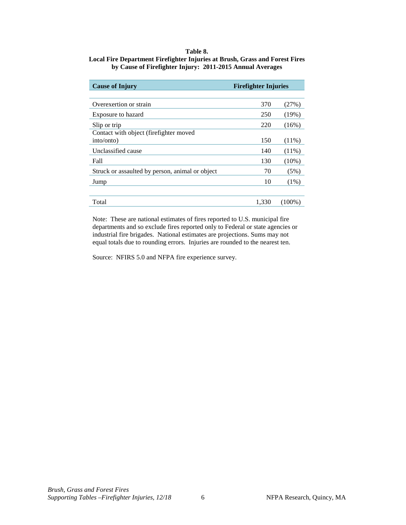## **Table 8.**

#### <span id="page-6-0"></span>**Local Fire Department Firefighter Injuries at Brush, Grass and Forest Fires by Cause of Firefighter Injury: 2011-2015 Annual Averages**

| <b>Firefighter Injuries</b><br><b>Cause of Injury</b> |       |           |
|-------------------------------------------------------|-------|-----------|
|                                                       |       |           |
| Overexertion or strain                                | 370   | (27%)     |
| Exposure to hazard                                    | 250   | (19%)     |
| Slip or trip                                          | 220   | (16%)     |
| Contact with object (firefighter moved                |       |           |
| into/onto)                                            | 150   | $(11\%)$  |
| Unclassified cause                                    | 140   | $(11\%)$  |
| Fall                                                  | 130   | (10%)     |
| Struck or assaulted by person, animal or object       | 70    | (5%)      |
| Jump                                                  | 10    | $(1\%)$   |
| Total                                                 | 1.330 | $(100\%)$ |

Note: These are national estimates of fires reported to U.S. municipal fire departments and so exclude fires reported only to Federal or state agencies or industrial fire brigades. National estimates are projections. Sums may not equal totals due to rounding errors. Injuries are rounded to the nearest ten.